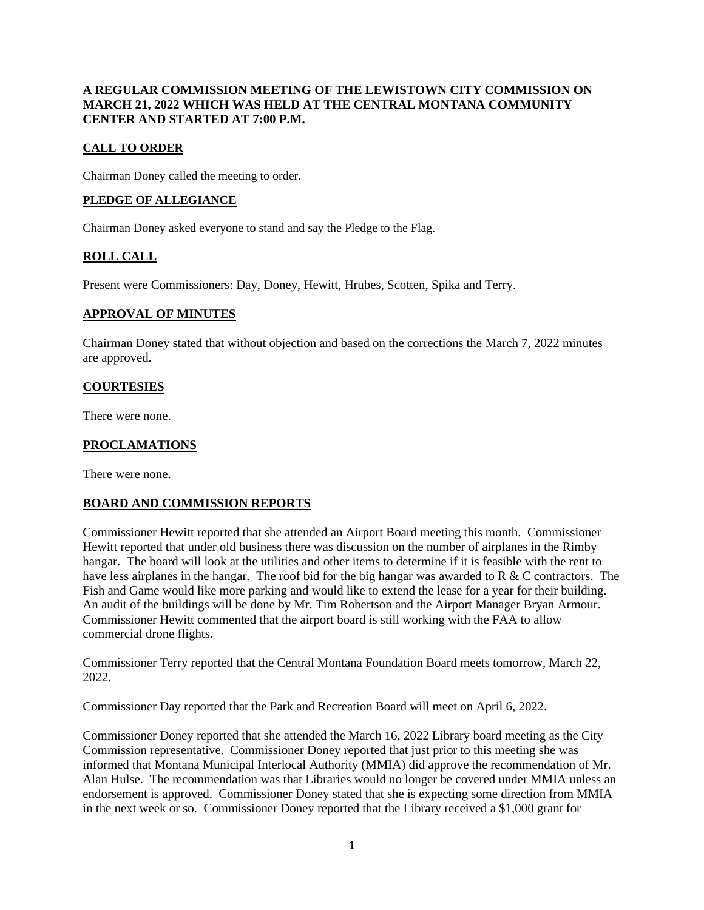# **A REGULAR COMMISSION MEETING OF THE LEWISTOWN CITY COMMISSION ON MARCH 21, 2022 WHICH WAS HELD AT THE CENTRAL MONTANA COMMUNITY CENTER AND STARTED AT 7:00 P.M.**

# **CALL TO ORDER**

Chairman Doney called the meeting to order.

## **PLEDGE OF ALLEGIANCE**

Chairman Doney asked everyone to stand and say the Pledge to the Flag.

# **ROLL CALL**

Present were Commissioners: Day, Doney, Hewitt, Hrubes, Scotten, Spika and Terry.

## **APPROVAL OF MINUTES**

Chairman Doney stated that without objection and based on the corrections the March 7, 2022 minutes are approved.

## **COURTESIES**

There were none.

# **PROCLAMATIONS**

There were none.

## **BOARD AND COMMISSION REPORTS**

Commissioner Hewitt reported that she attended an Airport Board meeting this month. Commissioner Hewitt reported that under old business there was discussion on the number of airplanes in the Rimby hangar. The board will look at the utilities and other items to determine if it is feasible with the rent to have less airplanes in the hangar. The roof bid for the big hangar was awarded to R & C contractors. The Fish and Game would like more parking and would like to extend the lease for a year for their building. An audit of the buildings will be done by Mr. Tim Robertson and the Airport Manager Bryan Armour. Commissioner Hewitt commented that the airport board is still working with the FAA to allow commercial drone flights.

Commissioner Terry reported that the Central Montana Foundation Board meets tomorrow, March 22, 2022.

Commissioner Day reported that the Park and Recreation Board will meet on April 6, 2022.

Commissioner Doney reported that she attended the March 16, 2022 Library board meeting as the City Commission representative. Commissioner Doney reported that just prior to this meeting she was informed that Montana Municipal Interlocal Authority (MMIA) did approve the recommendation of Mr. Alan Hulse. The recommendation was that Libraries would no longer be covered under MMIA unless an endorsement is approved. Commissioner Doney stated that she is expecting some direction from MMIA in the next week or so. Commissioner Doney reported that the Library received a \$1,000 grant for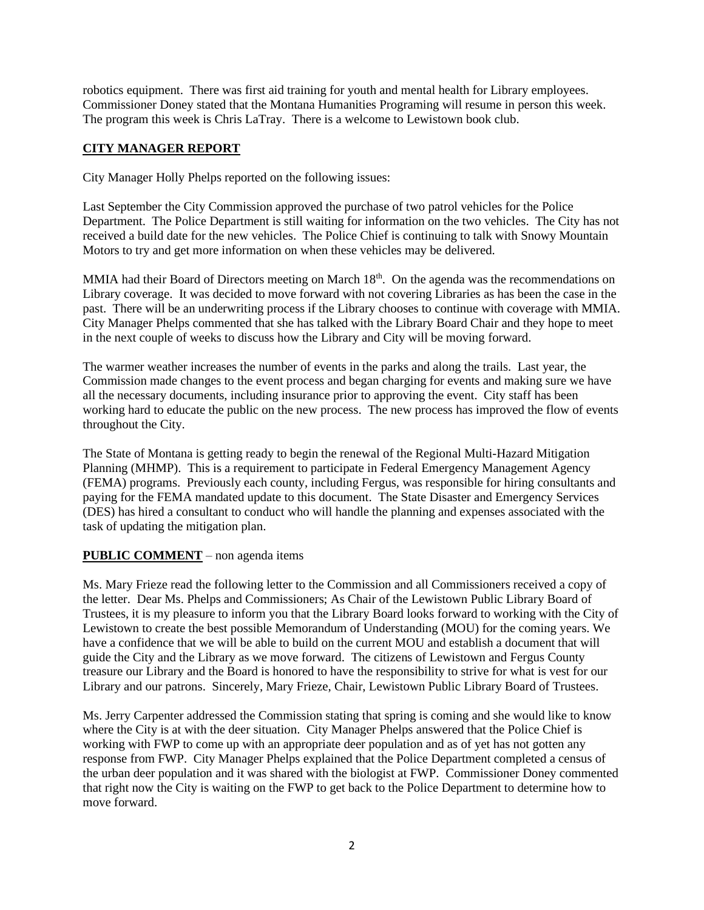robotics equipment. There was first aid training for youth and mental health for Library employees. Commissioner Doney stated that the Montana Humanities Programing will resume in person this week. The program this week is Chris LaTray. There is a welcome to Lewistown book club.

# **CITY MANAGER REPORT**

City Manager Holly Phelps reported on the following issues:

Last September the City Commission approved the purchase of two patrol vehicles for the Police Department. The Police Department is still waiting for information on the two vehicles. The City has not received a build date for the new vehicles. The Police Chief is continuing to talk with Snowy Mountain Motors to try and get more information on when these vehicles may be delivered.

MMIA had their Board of Directors meeting on March 18<sup>th</sup>. On the agenda was the recommendations on Library coverage. It was decided to move forward with not covering Libraries as has been the case in the past. There will be an underwriting process if the Library chooses to continue with coverage with MMIA. City Manager Phelps commented that she has talked with the Library Board Chair and they hope to meet in the next couple of weeks to discuss how the Library and City will be moving forward.

The warmer weather increases the number of events in the parks and along the trails. Last year, the Commission made changes to the event process and began charging for events and making sure we have all the necessary documents, including insurance prior to approving the event. City staff has been working hard to educate the public on the new process. The new process has improved the flow of events throughout the City.

The State of Montana is getting ready to begin the renewal of the Regional Multi-Hazard Mitigation Planning (MHMP). This is a requirement to participate in Federal Emergency Management Agency (FEMA) programs. Previously each county, including Fergus, was responsible for hiring consultants and paying for the FEMA mandated update to this document. The State Disaster and Emergency Services (DES) has hired a consultant to conduct who will handle the planning and expenses associated with the task of updating the mitigation plan.

## **PUBLIC COMMENT** – non agenda items

Ms. Mary Frieze read the following letter to the Commission and all Commissioners received a copy of the letter. Dear Ms. Phelps and Commissioners; As Chair of the Lewistown Public Library Board of Trustees, it is my pleasure to inform you that the Library Board looks forward to working with the City of Lewistown to create the best possible Memorandum of Understanding (MOU) for the coming years. We have a confidence that we will be able to build on the current MOU and establish a document that will guide the City and the Library as we move forward. The citizens of Lewistown and Fergus County treasure our Library and the Board is honored to have the responsibility to strive for what is vest for our Library and our patrons. Sincerely, Mary Frieze, Chair, Lewistown Public Library Board of Trustees.

Ms. Jerry Carpenter addressed the Commission stating that spring is coming and she would like to know where the City is at with the deer situation. City Manager Phelps answered that the Police Chief is working with FWP to come up with an appropriate deer population and as of yet has not gotten any response from FWP. City Manager Phelps explained that the Police Department completed a census of the urban deer population and it was shared with the biologist at FWP. Commissioner Doney commented that right now the City is waiting on the FWP to get back to the Police Department to determine how to move forward.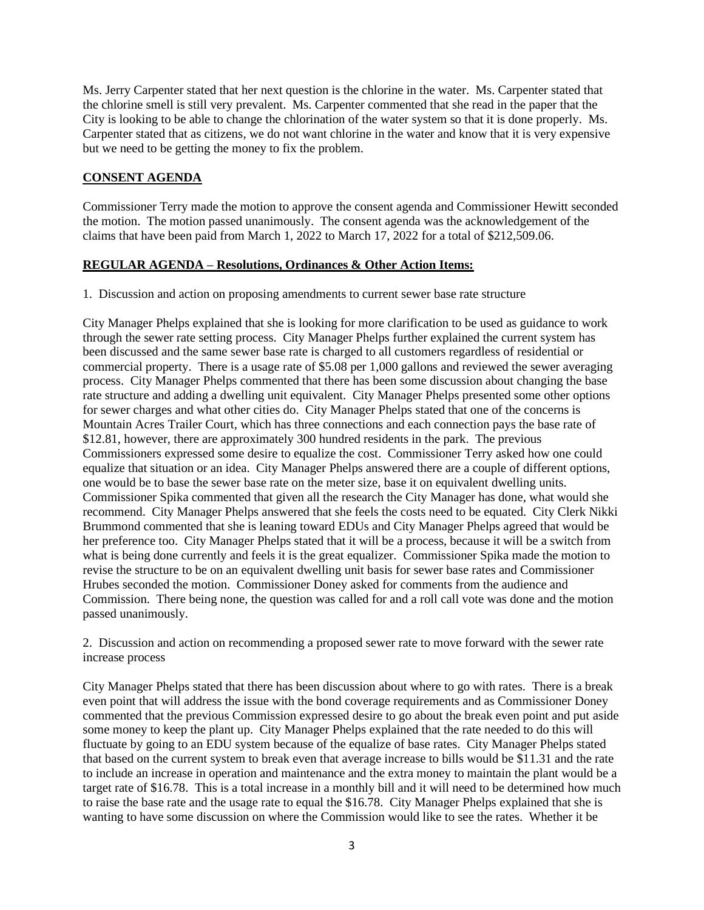Ms. Jerry Carpenter stated that her next question is the chlorine in the water. Ms. Carpenter stated that the chlorine smell is still very prevalent. Ms. Carpenter commented that she read in the paper that the City is looking to be able to change the chlorination of the water system so that it is done properly. Ms. Carpenter stated that as citizens, we do not want chlorine in the water and know that it is very expensive but we need to be getting the money to fix the problem.

#### **CONSENT AGENDA**

Commissioner Terry made the motion to approve the consent agenda and Commissioner Hewitt seconded the motion. The motion passed unanimously. The consent agenda was the acknowledgement of the claims that have been paid from March 1, 2022 to March 17, 2022 for a total of \$212,509.06.

#### **REGULAR AGENDA – Resolutions, Ordinances & Other Action Items:**

1. Discussion and action on proposing amendments to current sewer base rate structure

City Manager Phelps explained that she is looking for more clarification to be used as guidance to work through the sewer rate setting process. City Manager Phelps further explained the current system has been discussed and the same sewer base rate is charged to all customers regardless of residential or commercial property. There is a usage rate of \$5.08 per 1,000 gallons and reviewed the sewer averaging process. City Manager Phelps commented that there has been some discussion about changing the base rate structure and adding a dwelling unit equivalent. City Manager Phelps presented some other options for sewer charges and what other cities do. City Manager Phelps stated that one of the concerns is Mountain Acres Trailer Court, which has three connections and each connection pays the base rate of \$12.81, however, there are approximately 300 hundred residents in the park. The previous Commissioners expressed some desire to equalize the cost. Commissioner Terry asked how one could equalize that situation or an idea. City Manager Phelps answered there are a couple of different options, one would be to base the sewer base rate on the meter size, base it on equivalent dwelling units. Commissioner Spika commented that given all the research the City Manager has done, what would she recommend. City Manager Phelps answered that she feels the costs need to be equated. City Clerk Nikki Brummond commented that she is leaning toward EDUs and City Manager Phelps agreed that would be her preference too. City Manager Phelps stated that it will be a process, because it will be a switch from what is being done currently and feels it is the great equalizer. Commissioner Spika made the motion to revise the structure to be on an equivalent dwelling unit basis for sewer base rates and Commissioner Hrubes seconded the motion. Commissioner Doney asked for comments from the audience and Commission. There being none, the question was called for and a roll call vote was done and the motion passed unanimously.

2. Discussion and action on recommending a proposed sewer rate to move forward with the sewer rate increase process

City Manager Phelps stated that there has been discussion about where to go with rates. There is a break even point that will address the issue with the bond coverage requirements and as Commissioner Doney commented that the previous Commission expressed desire to go about the break even point and put aside some money to keep the plant up. City Manager Phelps explained that the rate needed to do this will fluctuate by going to an EDU system because of the equalize of base rates. City Manager Phelps stated that based on the current system to break even that average increase to bills would be \$11.31 and the rate to include an increase in operation and maintenance and the extra money to maintain the plant would be a target rate of \$16.78. This is a total increase in a monthly bill and it will need to be determined how much to raise the base rate and the usage rate to equal the \$16.78. City Manager Phelps explained that she is wanting to have some discussion on where the Commission would like to see the rates. Whether it be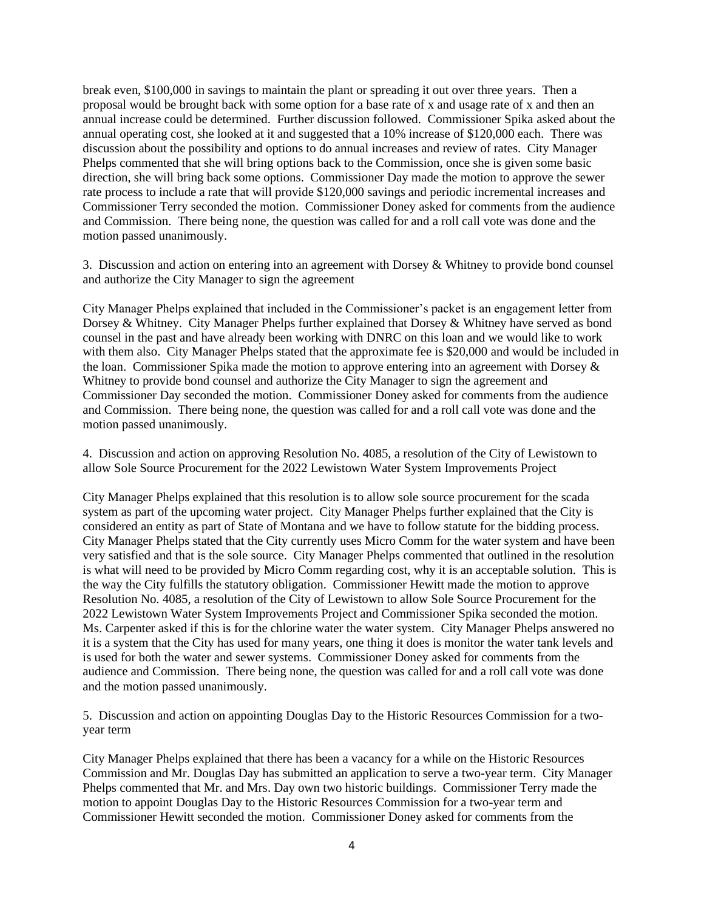break even, \$100,000 in savings to maintain the plant or spreading it out over three years. Then a proposal would be brought back with some option for a base rate of x and usage rate of x and then an annual increase could be determined. Further discussion followed. Commissioner Spika asked about the annual operating cost, she looked at it and suggested that a 10% increase of \$120,000 each. There was discussion about the possibility and options to do annual increases and review of rates. City Manager Phelps commented that she will bring options back to the Commission, once she is given some basic direction, she will bring back some options. Commissioner Day made the motion to approve the sewer rate process to include a rate that will provide \$120,000 savings and periodic incremental increases and Commissioner Terry seconded the motion. Commissioner Doney asked for comments from the audience and Commission. There being none, the question was called for and a roll call vote was done and the motion passed unanimously.

3. Discussion and action on entering into an agreement with Dorsey & Whitney to provide bond counsel and authorize the City Manager to sign the agreement

City Manager Phelps explained that included in the Commissioner's packet is an engagement letter from Dorsey & Whitney. City Manager Phelps further explained that Dorsey & Whitney have served as bond counsel in the past and have already been working with DNRC on this loan and we would like to work with them also. City Manager Phelps stated that the approximate fee is \$20,000 and would be included in the loan. Commissioner Spika made the motion to approve entering into an agreement with Dorsey & Whitney to provide bond counsel and authorize the City Manager to sign the agreement and Commissioner Day seconded the motion. Commissioner Doney asked for comments from the audience and Commission. There being none, the question was called for and a roll call vote was done and the motion passed unanimously.

4. Discussion and action on approving Resolution No. 4085, a resolution of the City of Lewistown to allow Sole Source Procurement for the 2022 Lewistown Water System Improvements Project

City Manager Phelps explained that this resolution is to allow sole source procurement for the scada system as part of the upcoming water project. City Manager Phelps further explained that the City is considered an entity as part of State of Montana and we have to follow statute for the bidding process. City Manager Phelps stated that the City currently uses Micro Comm for the water system and have been very satisfied and that is the sole source. City Manager Phelps commented that outlined in the resolution is what will need to be provided by Micro Comm regarding cost, why it is an acceptable solution. This is the way the City fulfills the statutory obligation. Commissioner Hewitt made the motion to approve Resolution No. 4085, a resolution of the City of Lewistown to allow Sole Source Procurement for the 2022 Lewistown Water System Improvements Project and Commissioner Spika seconded the motion. Ms. Carpenter asked if this is for the chlorine water the water system. City Manager Phelps answered no it is a system that the City has used for many years, one thing it does is monitor the water tank levels and is used for both the water and sewer systems. Commissioner Doney asked for comments from the audience and Commission. There being none, the question was called for and a roll call vote was done and the motion passed unanimously.

5. Discussion and action on appointing Douglas Day to the Historic Resources Commission for a twoyear term

City Manager Phelps explained that there has been a vacancy for a while on the Historic Resources Commission and Mr. Douglas Day has submitted an application to serve a two-year term. City Manager Phelps commented that Mr. and Mrs. Day own two historic buildings. Commissioner Terry made the motion to appoint Douglas Day to the Historic Resources Commission for a two-year term and Commissioner Hewitt seconded the motion. Commissioner Doney asked for comments from the